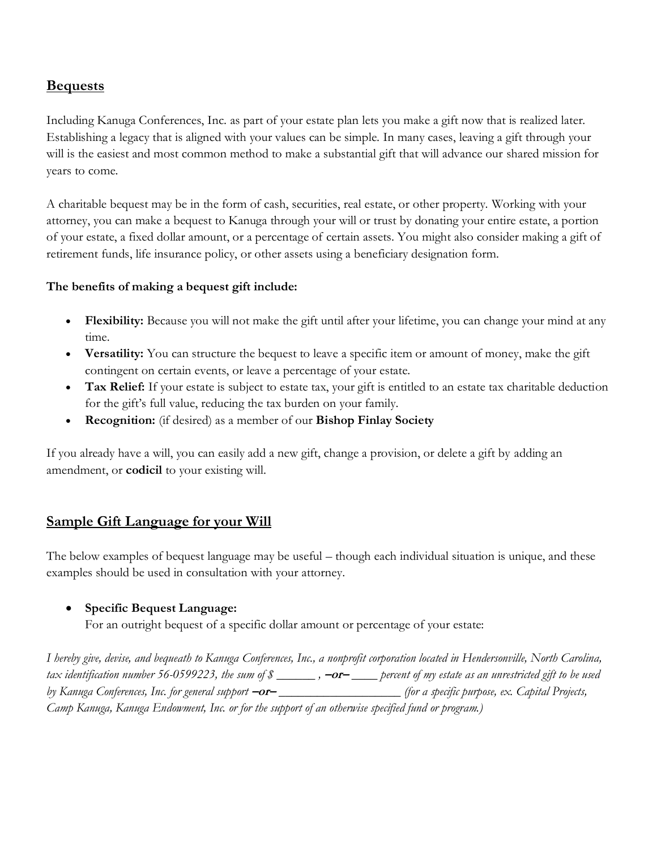# **Bequests**

Including Kanuga Conferences, Inc. as part of your estate plan lets you make a gift now that is realized later. Establishing a legacy that is aligned with your values can be simple. In many cases, leaving a gift through your will is the easiest and most common method to make a substantial gift that will advance our shared mission for years to come.

A charitable bequest may be in the form of cash, securities, real estate, or other property. Working with your attorney, you can make a bequest to Kanuga through your will or trust by donating your entire estate, a portion of your estate, a fixed dollar amount, or a percentage of certain assets. You might also consider making a gift of retirement funds, life insurance policy, or other assets using a beneficiary designation form.

### **The benefits of making a bequest gift include:**

- **Flexibility:** Because you will not make the gift until after your lifetime, you can change your mind at any time.
- **Versatility:** You can structure the bequest to leave a specific item or amount of money, make the gift contingent on certain events, or leave a percentage of your estate.
- **Tax Relief:** If your estate is subject to estate tax, your gift is entitled to an estate tax charitable deduction for the gift's full value, reducing the tax burden on your family.
- **Recognition:** (if desired) as a member of our **Bishop Finlay Society**

If you already have a will, you can easily add a new gift, change a provision, or delete a gift by adding an amendment, or **codicil** to your existing will.

## **Sample Gift Language for your Will**

The below examples of bequest language may be useful – though each individual situation is unique, and these examples should be used in consultation with your attorney.

### • **Specific Bequest Language:**

For an outright bequest of a specific dollar amount or percentage of your estate:

*I hereby give, devise, and bequeath to Kanuga Conferences, Inc., a nonprofit corporation located in Hendersonville, North Carolina, tax identification number 56-0599223, the sum of \$ \_\_\_\_\_\_ ,* **–or–** *\_\_\_\_ percent of my estate as an unrestricted gift to be used by Kanuga Conferences, Inc. for general support* **–or–** *\_\_\_\_\_\_\_\_\_\_\_\_\_\_\_\_\_\_\_ (for a specific purpose, ex. Capital Projects, Camp Kanuga, Kanuga Endowment, Inc. or for the support of an otherwise specified fund or program.)*